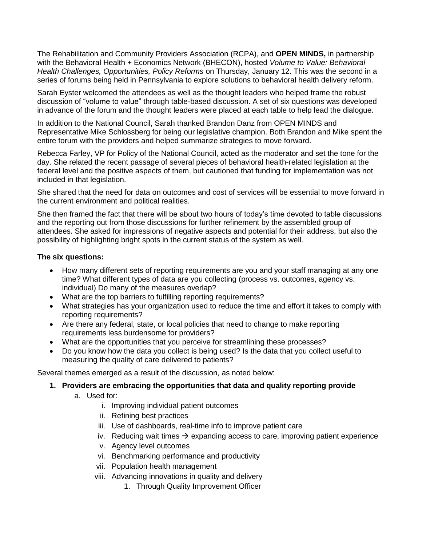The Rehabilitation and Community Providers Association (RCPA), and **OPEN MINDS,** in partnership with the Behavioral Health + Economics Network (BHECON), hosted *Volume to Value: Behavioral Health Challenges, Opportunities, Policy Reforms* on Thursday, January 12. This was the second in a series of forums being held in Pennsylvania to explore solutions to behavioral health delivery reform.

Sarah Eyster welcomed the attendees as well as the thought leaders who helped frame the robust discussion of "volume to value" through table-based discussion. A set of six questions was developed in advance of the forum and the thought leaders were placed at each table to help lead the dialogue.

In addition to the National Council, Sarah thanked Brandon Danz from OPEN MINDS and Representative Mike Schlossberg for being our legislative champion. Both Brandon and Mike spent the entire forum with the providers and helped summarize strategies to move forward.

Rebecca Farley, VP for Policy of the National Council, acted as the moderator and set the tone for the day. She related the recent passage of several pieces of behavioral health-related legislation at the federal level and the positive aspects of them, but cautioned that funding for implementation was not included in that legislation.

She shared that the need for data on outcomes and cost of services will be essential to move forward in the current environment and political realities.

She then framed the fact that there will be about two hours of today's time devoted to table discussions and the reporting out from those discussions for further refinement by the assembled group of attendees. She asked for impressions of negative aspects and potential for their address, but also the possibility of highlighting bright spots in the current status of the system as well.

### **The six questions:**

- How many different sets of reporting requirements are you and your staff managing at any one time? What different types of data are you collecting (process vs. outcomes, agency vs. individual) Do many of the measures overlap?
- What are the top barriers to fulfilling reporting requirements?
- What strategies has your organization used to reduce the time and effort it takes to comply with reporting requirements?
- Are there any federal, state, or local policies that need to change to make reporting requirements less burdensome for providers?
- What are the opportunities that you perceive for streamlining these processes?
- Do you know how the data you collect is being used? Is the data that you collect useful to measuring the quality of care delivered to patients?

Several themes emerged as a result of the discussion, as noted below:

## **1. Providers are embracing the opportunities that data and quality reporting provide**

- a. Used for:
	- i. Improving individual patient outcomes
	- ii. Refining best practices
	- iii. Use of dashboards, real-time info to improve patient care
	- iv. Reducing wait times  $\rightarrow$  expanding access to care, improving patient experience
	- v. Agency level outcomes
	- vi. Benchmarking performance and productivity
	- vii. Population health management
	- viii. Advancing innovations in quality and delivery
		- 1. Through Quality Improvement Officer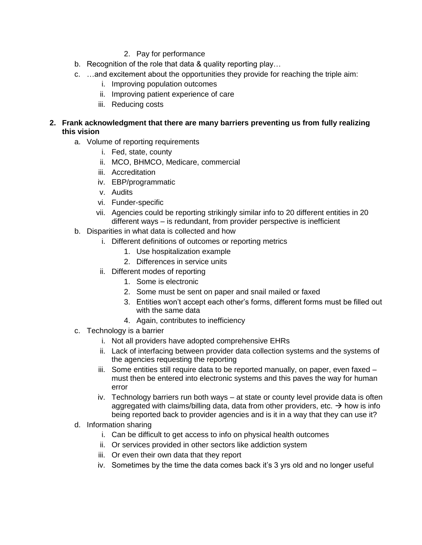- 2. Pay for performance
- b. Recognition of the role that data & quality reporting play…
- c. …and excitement about the opportunities they provide for reaching the triple aim:
	- i. Improving population outcomes
	- ii. Improving patient experience of care
	- iii. Reducing costs
- **2. Frank acknowledgment that there are many barriers preventing us from fully realizing this vision**
	- a. Volume of reporting requirements
		- i. Fed, state, county
		- ii. MCO, BHMCO, Medicare, commercial
		- iii. Accreditation
		- iv. EBP/programmatic
		- v. Audits
		- vi. Funder-specific
		- vii. Agencies could be reporting strikingly similar info to 20 different entities in 20 different ways – is redundant, from provider perspective is inefficient
	- b. Disparities in what data is collected and how
		- i. Different definitions of outcomes or reporting metrics
			- 1. Use hospitalization example
			- 2. Differences in service units
		- ii. Different modes of reporting
			- 1. Some is electronic
			- 2. Some must be sent on paper and snail mailed or faxed
			- 3. Entities won't accept each other's forms, different forms must be filled out with the same data
			- 4. Again, contributes to inefficiency
	- c. Technology is a barrier
		- i. Not all providers have adopted comprehensive EHRs
		- ii. Lack of interfacing between provider data collection systems and the systems of the agencies requesting the reporting
		- iii. Some entities still require data to be reported manually, on paper, even faxed must then be entered into electronic systems and this paves the way for human error
		- iv. Technology barriers run both ways at state or county level provide data is often aggregated with claims/billing data, data from other providers, etc.  $\rightarrow$  how is info being reported back to provider agencies and is it in a way that they can use it?
	- d. Information sharing
		- i. Can be difficult to get access to info on physical health outcomes
		- ii. Or services provided in other sectors like addiction system
		- iii. Or even their own data that they report
		- iv. Sometimes by the time the data comes back it's 3 yrs old and no longer useful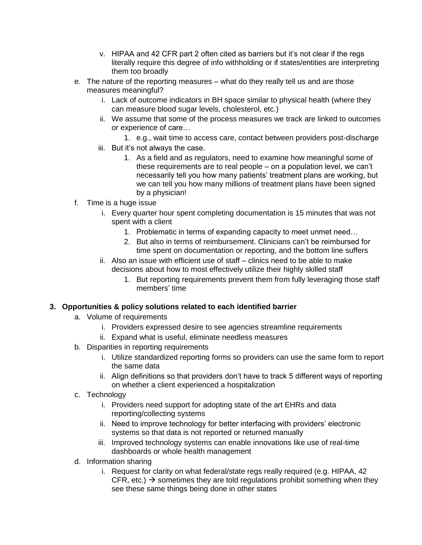- v. HIPAA and 42 CFR part 2 often cited as barriers but it's not clear if the regs literally require this degree of info withholding or if states/entities are interpreting them too broadly
- e. The nature of the reporting measures what do they really tell us and are those measures meaningful?
	- i. Lack of outcome indicators in BH space similar to physical health (where they can measure blood sugar levels, cholesterol, etc.)
	- ii. We assume that some of the process measures we track are linked to outcomes or experience of care…
		- 1. e.g., wait time to access care, contact between providers post-discharge
	- iii. But it's not always the case.
		- 1. As a field and as regulators, need to examine how meaningful some of these requirements are to real people – on a population level, we can't necessarily tell you how many patients' treatment plans are working, but we can tell you how many millions of treatment plans have been signed by a physician!
- f. Time is a huge issue
	- i. Every quarter hour spent completing documentation is 15 minutes that was not spent with a client
		- 1. Problematic in terms of expanding capacity to meet unmet need…
		- 2. But also in terms of reimbursement. Clinicians can't be reimbursed for time spent on documentation or reporting, and the bottom line suffers
	- ii. Also an issue with efficient use of staff clinics need to be able to make decisions about how to most effectively utilize their highly skilled staff
		- 1. But reporting requirements prevent them from fully leveraging those staff members' time

## **3. Opportunities & policy solutions related to each identified barrier**

- a. Volume of requirements
	- i. Providers expressed desire to see agencies streamline requirements
	- ii. Expand what is useful, eliminate needless measures
- b. Disparities in reporting requirements
	- i. Utilize standardized reporting forms so providers can use the same form to report the same data
	- ii. Align definitions so that providers don't have to track 5 different ways of reporting on whether a client experienced a hospitalization
- c. Technology
	- i. Providers need support for adopting state of the art EHRs and data reporting/collecting systems
	- ii. Need to improve technology for better interfacing with providers' electronic systems so that data is not reported or returned manually
	- iii. Improved technology systems can enable innovations like use of real-time dashboards or whole health management
- d. Information sharing
	- i. Request for clarity on what federal/state regs really required (e.g. HIPAA, 42 CFR, etc.)  $\rightarrow$  sometimes they are told regulations prohibit something when they see these same things being done in other states